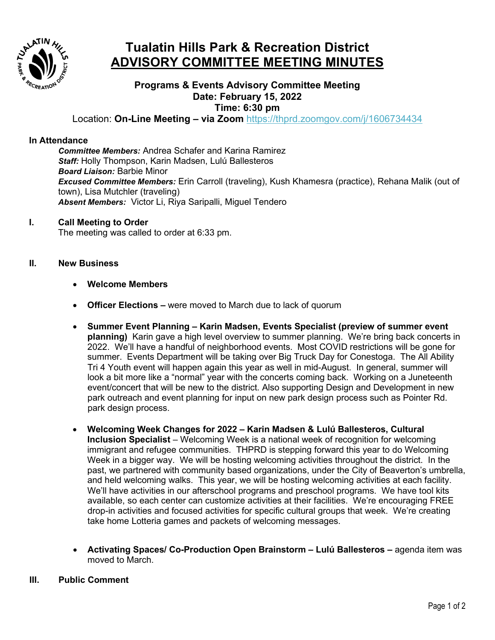

# **Tualatin Hills Park & Recreation District ADVISORY COMMITTEE MEETING MINUTES**

## **Programs & Events Advisory Committee Meeting Date: February 15, 2022 Time: 6:30 pm**

Location: **On-Line Meeting – via Zoom** <https://thprd.zoomgov.com/j/1606734434>

#### **In Attendance**

*Committee Members:* Andrea Schafer and Karina Ramirez *Staff:* Holly Thompson, Karin Madsen, Lulú Ballesteros *Board Liaison:* Barbie Minor *Excused Committee Members:* Erin Carroll (traveling), Kush Khamesra (practice), Rehana Malik (out of town), Lisa Mutchler (traveling) *Absent Members:* Victor Li, Riya Saripalli, Miguel Tendero

#### **I. Call Meeting to Order**

The meeting was called to order at 6:33 pm.

#### **II. New Business**

- **Welcome Members**
- **Officer Elections –** were moved to March due to lack of quorum
- **Summer Event Planning – Karin Madsen, Events Specialist (preview of summer event planning)** Karin gave a high level overview to summer planning. We're bring back concerts in 2022. We'll have a handful of neighborhood events. Most COVID restrictions will be gone for summer. Events Department will be taking over Big Truck Day for Conestoga. The All Ability Tri 4 Youth event will happen again this year as well in mid-August. In general, summer will look a bit more like a "normal" year with the concerts coming back. Working on a Juneteenth event/concert that will be new to the district. Also supporting Design and Development in new park outreach and event planning for input on new park design process such as Pointer Rd. park design process.
- **Welcoming Week Changes for 2022 – Karin Madsen & Lulú Ballesteros, Cultural Inclusion Specialist** – Welcoming Week is a national week of recognition for welcoming immigrant and refugee communities. THPRD is stepping forward this year to do Welcoming Week in a bigger way. We will be hosting welcoming activities throughout the district. In the past, we partnered with community based organizations, under the City of Beaverton's umbrella, and held welcoming walks. This year, we will be hosting welcoming activities at each facility. We'll have activities in our afterschool programs and preschool programs. We have tool kits available, so each center can customize activities at their facilities. We're encouraging FREE drop-in activities and focused activities for specific cultural groups that week. We're creating take home Lotteria games and packets of welcoming messages.
- **Activating Spaces/ Co-Production Open Brainstorm – Lulú Ballesteros –** agenda item was moved to March.

#### **III. Public Comment**